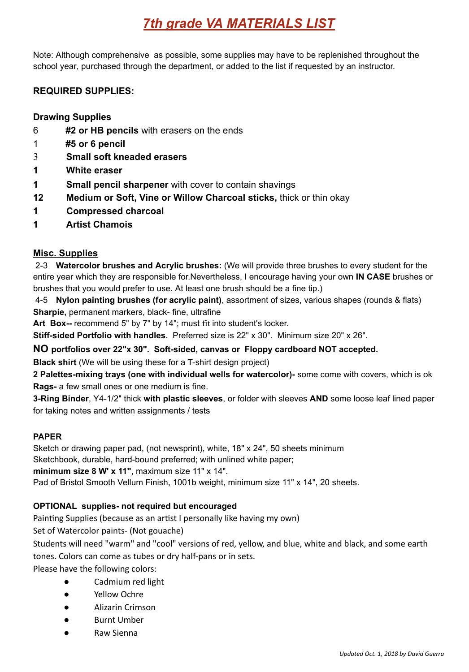# *7th grade VA MATERIALS LIST*

Note: Although comprehensive as possible, some supplies may have to be replenished throughout the school year, purchased through the department, or added to the list if requested by an instructor.

## **REQUIRED SUPPLIES:**

### **Drawing Supplies**

- 6 **#2 or HB pencils** with erasers on the ends
- 1 **#5 or 6 pencil**
- 3 **Small soft kneaded erasers**
- **1 White eraser**
- **1 Small pencil sharpener** with cover to contain shavings
- **12 Medium or Soft, Vine or Willow Charcoal sticks,** thick or thin okay
- **1 Compressed charcoal**
- **1 Artist Chamois**

#### **Misc. Supplies**

2-3 **Watercolor brushes and Acrylic brushes:** (We will provide three brushes to every student for the entire year which they are responsible for.Nevertheless, I encourage having your own **IN CASE** brushes or brushes that you would prefer to use. At least one brush should be a fine tip.)

4-5 **Nylon painting brushes (for acrylic paint)**, assortment of sizes, various shapes (rounds & flats) **Sharpie,** permanent markers, black- fine, ultrafine

**Art Box--** recommend 5" by 7" by 14"; must fit into student's locker.

**Stiff-sided Portfolio with handles.** Preferred size is 22" x 30". Minimum size 20" x 26".

**NO portfolios over 22"x 30". Soft-sided, canvas or Floppy cardboard NOT accepted.**

**Black shirt** (We will be using these for a T-shirt design project)

**2 Palettes-mixing trays (one with individual wells for watercolor)-** some come with covers, which is ok **Rags-** a few small ones or one medium is fine.

**3-Ring Binder**, Y4-1/2" thick **with plastic sleeves**, or folder with sleeves **AND** some loose leaf lined paper for taking notes and written assignments / tests

#### **PAPER**

Sketch or drawing paper pad, (not newsprint), white, 18" x 24", 50 sheets minimum Sketchbook, durable, hard-bound preferred; with unlined white paper; **minimum size 8 W' x 11"**, maximum size 11" x 14". Pad of Bristol Smooth Vellum Finish, 1001b weight, minimum size 11" x 14", 20 sheets.

#### **OPTIONAL supplies- not required but encouraged**

Painting Supplies (because as an artist I personally like having my own)

Set of Watercolor paints- (Not gouache)

Students will need "warm" and "cool" versions of red, yellow, and blue, white and black, and some earth tones. Colors can come as tubes or dry half-pans or in sets.

Please have the following colors:

- Cadmium red light
- Yellow Ochre
- Alizarin Crimson
- Burnt Umber
- Raw Sienna